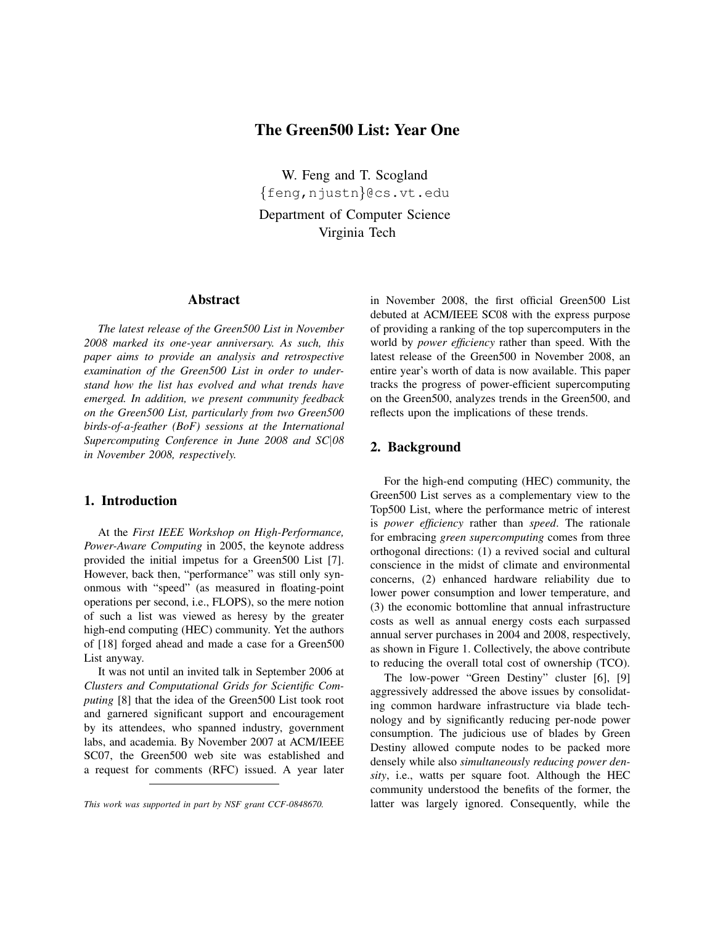# The Green500 List: Year One

W. Feng and T. Scogland {feng,njustn}@cs.vt.edu Department of Computer Science Virginia Tech

#### Abstract

*The latest release of the Green500 List in November 2008 marked its one-year anniversary. As such, this paper aims to provide an analysis and retrospective examination of the Green500 List in order to understand how the list has evolved and what trends have emerged. In addition, we present community feedback on the Green500 List, particularly from two Green500 birds-of-a-feather (BoF) sessions at the International Supercomputing Conference in June 2008 and SC*|*08 in November 2008, respectively.*

# 1. Introduction

At the *First IEEE Workshop on High-Performance, Power-Aware Computing* in 2005, the keynote address provided the initial impetus for a Green500 List [7]. However, back then, "performance" was still only synonmous with "speed" (as measured in floating-point operations per second, i.e., FLOPS), so the mere notion of such a list was viewed as heresy by the greater high-end computing (HEC) community. Yet the authors of [18] forged ahead and made a case for a Green500 List anyway.

It was not until an invited talk in September 2006 at *Clusters and Computational Grids for Scientific Computing* [8] that the idea of the Green500 List took root and garnered significant support and encouragement by its attendees, who spanned industry, government labs, and academia. By November 2007 at ACM/IEEE SC07, the Green500 web site was established and a request for comments (RFC) issued. A year later

in November 2008, the first official Green500 List debuted at ACM/IEEE SC08 with the express purpose of providing a ranking of the top supercomputers in the world by *power efficiency* rather than speed. With the latest release of the Green500 in November 2008, an entire year's worth of data is now available. This paper tracks the progress of power-efficient supercomputing on the Green500, analyzes trends in the Green500, and reflects upon the implications of these trends.

# 2. Background

For the high-end computing (HEC) community, the Green500 List serves as a complementary view to the Top500 List, where the performance metric of interest is *power efficiency* rather than *speed*. The rationale for embracing *green supercomputing* comes from three orthogonal directions: (1) a revived social and cultural conscience in the midst of climate and environmental concerns, (2) enhanced hardware reliability due to lower power consumption and lower temperature, and (3) the economic bottomline that annual infrastructure costs as well as annual energy costs each surpassed annual server purchases in 2004 and 2008, respectively, as shown in Figure 1. Collectively, the above contribute to reducing the overall total cost of ownership (TCO).

The low-power "Green Destiny" cluster [6], [9] aggressively addressed the above issues by consolidating common hardware infrastructure via blade technology and by significantly reducing per-node power consumption. The judicious use of blades by Green Destiny allowed compute nodes to be packed more densely while also *simultaneously reducing power density*, i.e., watts per square foot. Although the HEC community understood the benefits of the former, the latter was largely ignored. Consequently, while the

*This work was supported in part by NSF grant CCF-0848670.*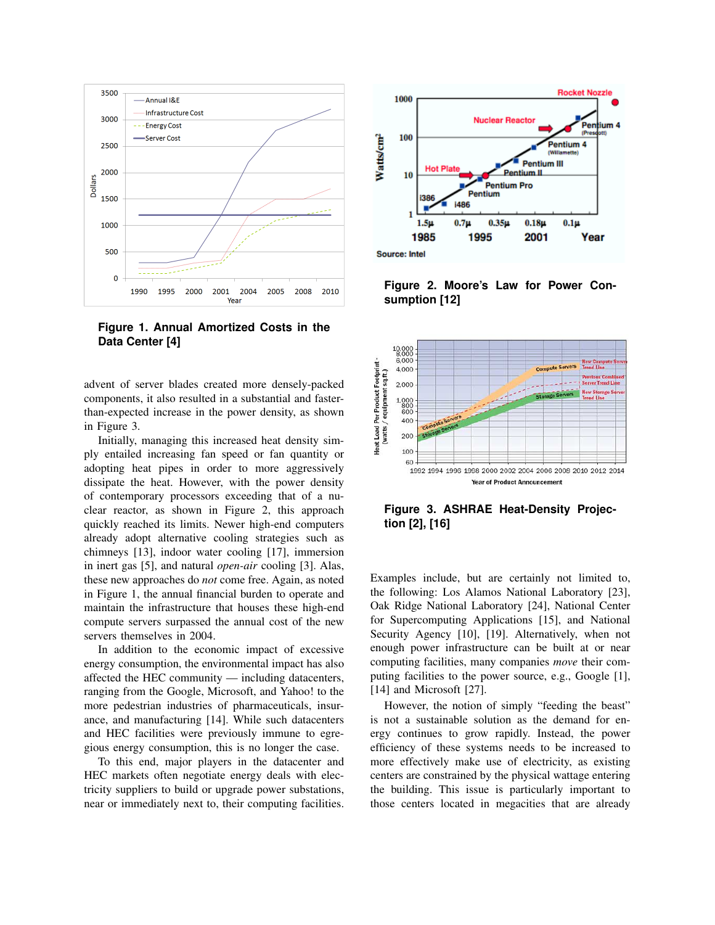

**Figure 1. Annual Amortized Costs in the Data Center [4]**

advent of server blades created more densely-packed components, it also resulted in a substantial and fasterthan-expected increase in the power density, as shown in Figure 3.

Initially, managing this increased heat density simply entailed increasing fan speed or fan quantity or adopting heat pipes in order to more aggressively dissipate the heat. However, with the power density of contemporary processors exceeding that of a nuclear reactor, as shown in Figure 2, this approach quickly reached its limits. Newer high-end computers already adopt alternative cooling strategies such as chimneys [13], indoor water cooling [17], immersion in inert gas [5], and natural *open-air* cooling [3]. Alas, these new approaches do *not* come free. Again, as noted in Figure 1, the annual financial burden to operate and maintain the infrastructure that houses these high-end compute servers surpassed the annual cost of the new servers themselves in 2004.

In addition to the economic impact of excessive energy consumption, the environmental impact has also affected the HEC community — including datacenters, ranging from the Google, Microsoft, and Yahoo! to the more pedestrian industries of pharmaceuticals, insurance, and manufacturing [14]. While such datacenters and HEC facilities were previously immune to egregious energy consumption, this is no longer the case.

To this end, major players in the datacenter and HEC markets often negotiate energy deals with electricity suppliers to build or upgrade power substations, near or immediately next to, their computing facilities.



**Figure 2. Moore's Law for Power Consumption [12]**



**Figure 3. ASHRAE Heat-Density Projection [2], [16]**

Examples include, but are certainly not limited to, the following: Los Alamos National Laboratory [23], Oak Ridge National Laboratory [24], National Center for Supercomputing Applications [15], and National Security Agency [10], [19]. Alternatively, when not enough power infrastructure can be built at or near computing facilities, many companies *move* their computing facilities to the power source, e.g., Google [1], [14] and Microsoft [27].

However, the notion of simply "feeding the beast" is not a sustainable solution as the demand for energy continues to grow rapidly. Instead, the power efficiency of these systems needs to be increased to more effectively make use of electricity, as existing centers are constrained by the physical wattage entering the building. This issue is particularly important to those centers located in megacities that are already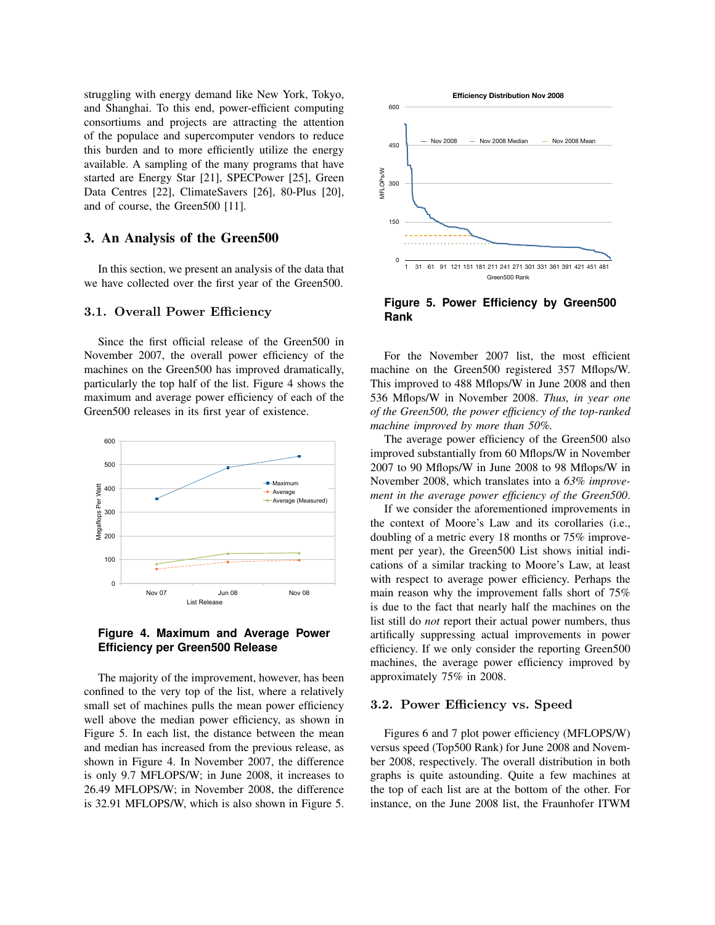struggling with energy demand like New York, Tokyo, and Shanghai. To this end, power-efficient computing consortiums and projects are attracting the attention of the populace and supercomputer vendors to reduce this burden and to more efficiently utilize the energy available. A sampling of the many programs that have started are Energy Star [21], SPECPower [25], Green Data Centres [22], ClimateSavers [26], 80-Plus [20], and of course, the Green500 [11].

# 3. An Analysis of the Green500

In this section, we present an analysis of the data that we have collected over the first year of the Green500.

### 3.1. Overall Power Efficiency

Since the first official release of the Green500 in November 2007, the overall power efficiency of the machines on the Green500 has improved dramatically, particularly the top half of the list. Figure 4 shows the maximum and average power efficiency of each of the Green500 releases in its first year of existence.



# **Figure 4. Maximum and Average Power Efficiency per Green500 Release**

The majority of the improvement, however, has been confined to the very top of the list, where a relatively small set of machines pulls the mean power efficiency well above the median power efficiency, as shown in Figure 5. In each list, the distance between the mean and median has increased from the previous release, as shown in Figure 4. In November 2007, the difference is only 9.7 MFLOPS/W; in June 2008, it increases to 26.49 MFLOPS/W; in November 2008, the difference is 32.91 MFLOPS/W, which is also shown in Figure 5.



**Figure 5. Power Efficiency by Green500 Rank**

For the November 2007 list, the most efficient machine on the Green500 registered 357 Mflops/W. This improved to 488 Mflops/W in June 2008 and then 536 Mflops/W in November 2008. *Thus, in year one of the Green500, the power efficiency of the top-ranked machine improved by more than 50%.*

The average power efficiency of the Green500 also improved substantially from 60 Mflops/W in November 2007 to 90 Mflops/W in June 2008 to 98 Mflops/W in November 2008, which translates into a *63% improvement in the average power efficiency of the Green500*.

If we consider the aforementioned improvements in the context of Moore's Law and its corollaries (i.e., doubling of a metric every 18 months or 75% improvement per year), the Green500 List shows initial indications of a similar tracking to Moore's Law, at least with respect to average power efficiency. Perhaps the main reason why the improvement falls short of 75% is due to the fact that nearly half the machines on the list still do *not* report their actual power numbers, thus artifically suppressing actual improvements in power efficiency. If we only consider the reporting Green500 machines, the average power efficiency improved by approximately 75% in 2008.

#### 3.2. Power Efficiency vs. Speed

Figures 6 and 7 plot power efficiency (MFLOPS/W) versus speed (Top500 Rank) for June 2008 and November 2008, respectively. The overall distribution in both graphs is quite astounding. Quite a few machines at the top of each list are at the bottom of the other. For instance, on the June 2008 list, the Fraunhofer ITWM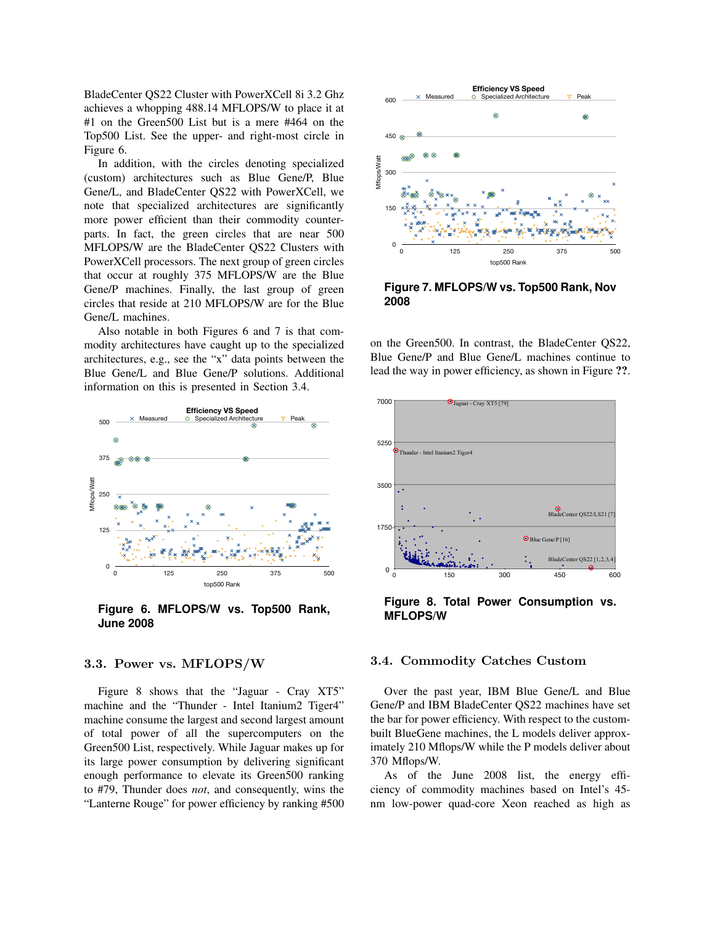BladeCenter QS22 Cluster with PowerXCell 8i 3.2 Ghz achieves a whopping 488.14 MFLOPS/W to place it at #1 on the Green500 List but is a mere #464 on the Top500 List. See the upper- and right-most circle in Figure 6.

In addition, with the circles denoting specialized (custom) architectures such as Blue Gene/P, Blue Gene/L, and BladeCenter QS22 with PowerXCell, we note that specialized architectures are significantly more power efficient than their commodity counterparts. In fact, the green circles that are near 500 MFLOPS/W are the BladeCenter QS22 Clusters with PowerXCell processors. The next group of green circles that occur at roughly 375 MFLOPS/W are the Blue Gene/P machines. Finally, the last group of green circles that reside at 210 MFLOPS/W are for the Blue Gene/L machines.

Also notable in both Figures 6 and 7 is that commodity architectures have caught up to the specialized architectures, e.g., see the "x" data points between the Blue Gene/L and Blue Gene/P solutions. Additional information on this is presented in Section 3.4.



**Figure 6. MFLOPS/W vs. Top500 Rank, June 2008**

### 3.3. Power vs. MFLOPS/W

Figure 8 shows that the "Jaguar - Cray XT5" machine and the "Thunder - Intel Itanium2 Tiger4" machine consume the largest and second largest amount of total power of all the supercomputers on the Green500 List, respectively. While Jaguar makes up for its large power consumption by delivering significant enough performance to elevate its Green500 ranking to #79, Thunder does *not*, and consequently, wins the "Lanterne Rouge" for power efficiency by ranking #500



**Figure 7. MFLOPS/W vs. Top500 Rank, Nov 2008**

on the Green500. In contrast, the BladeCenter QS22, Blue Gene/P and Blue Gene/L machines continue to lead the way in power efficiency, as shown in Figure ??.



**Figure 8. Total Power Consumption vs. MFLOPS/W**

# 3.4. Commodity Catches Custom

Over the past year, IBM Blue Gene/L and Blue Gene/P and IBM BladeCenter QS22 machines have set the bar for power efficiency. With respect to the custombuilt BlueGene machines, the L models deliver approximately 210 Mflops/W while the P models deliver about 370 Mflops/W.

As of the June 2008 list, the energy efficiency of commodity machines based on Intel's 45 nm low-power quad-core Xeon reached as high as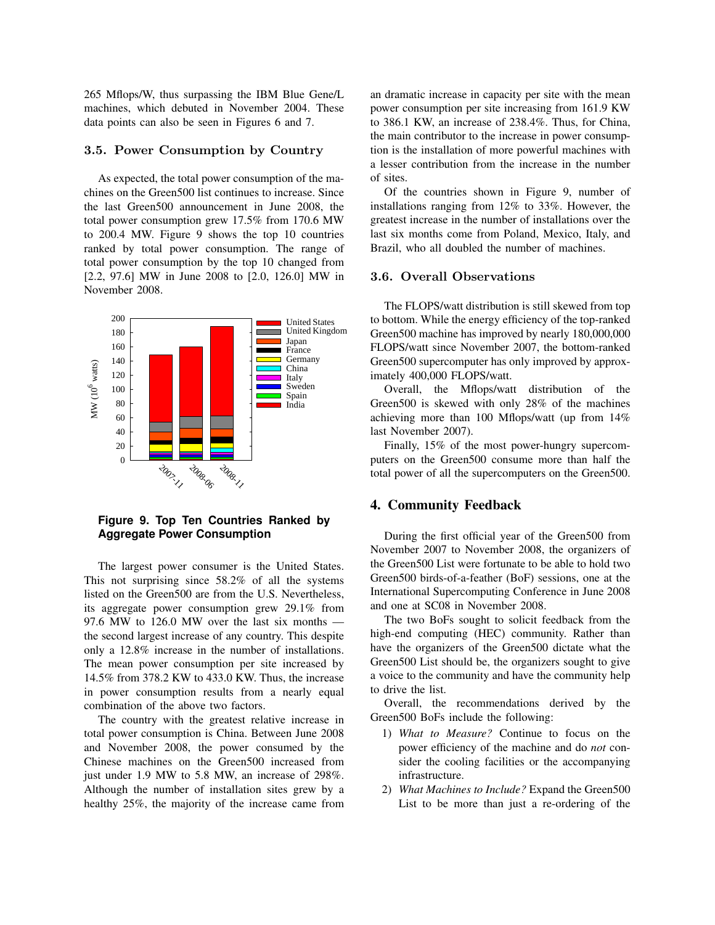265 Mflops/W, thus surpassing the IBM Blue Gene/L machines, which debuted in November 2004. These data points can also be seen in Figures 6 and 7.

#### 3.5. Power Consumption by Country

As expected, the total power consumption of the machines on the Green500 list continues to increase. Since the last Green500 announcement in June 2008, the total power consumption grew 17.5% from 170.6 MW to 200.4 MW. Figure 9 shows the top 10 countries ranked by total power consumption. The range of total power consumption by the top 10 changed from [2.2, 97.6] MW in June 2008 to [2.0, 126.0] MW in November 2008.



**Figure 9. Top Ten Countries Ranked by Aggregate Power Consumption**

The largest power consumer is the United States. This not surprising since 58.2% of all the systems listed on the Green500 are from the U.S. Nevertheless, its aggregate power consumption grew 29.1% from 97.6 MW to 126.0 MW over the last six months the second largest increase of any country. This despite only a 12.8% increase in the number of installations. The mean power consumption per site increased by 14.5% from 378.2 KW to 433.0 KW. Thus, the increase in power consumption results from a nearly equal combination of the above two factors.

The country with the greatest relative increase in total power consumption is China. Between June 2008 and November 2008, the power consumed by the Chinese machines on the Green500 increased from just under 1.9 MW to 5.8 MW, an increase of 298%. Although the number of installation sites grew by a healthy 25%, the majority of the increase came from

an dramatic increase in capacity per site with the mean power consumption per site increasing from 161.9 KW to 386.1 KW, an increase of 238.4%. Thus, for China, the main contributor to the increase in power consumption is the installation of more powerful machines with a lesser contribution from the increase in the number of sites.

Of the countries shown in Figure 9, number of installations ranging from 12% to 33%. However, the greatest increase in the number of installations over the last six months come from Poland, Mexico, Italy, and Brazil, who all doubled the number of machines.

# 3.6. Overall Observations

The FLOPS/watt distribution is still skewed from top to bottom. While the energy efficiency of the top-ranked Green500 machine has improved by nearly 180,000,000 FLOPS/watt since November 2007, the bottom-ranked Green500 supercomputer has only improved by approximately 400,000 FLOPS/watt.

Overall, the Mflops/watt distribution of the Green500 is skewed with only 28% of the machines achieving more than 100 Mflops/watt (up from 14% last November 2007).

Finally, 15% of the most power-hungry supercomputers on the Green500 consume more than half the total power of all the supercomputers on the Green500.

#### 4. Community Feedback

During the first official year of the Green500 from November 2007 to November 2008, the organizers of the Green500 List were fortunate to be able to hold two Green500 birds-of-a-feather (BoF) sessions, one at the International Supercomputing Conference in June 2008 and one at SC08 in November 2008.

The two BoFs sought to solicit feedback from the high-end computing (HEC) community. Rather than have the organizers of the Green500 dictate what the Green500 List should be, the organizers sought to give a voice to the community and have the community help to drive the list.

Overall, the recommendations derived by the Green500 BoFs include the following:

- 1) *What to Measure?* Continue to focus on the power efficiency of the machine and do *not* consider the cooling facilities or the accompanying infrastructure.
- 2) *What Machines to Include?* Expand the Green500 List to be more than just a re-ordering of the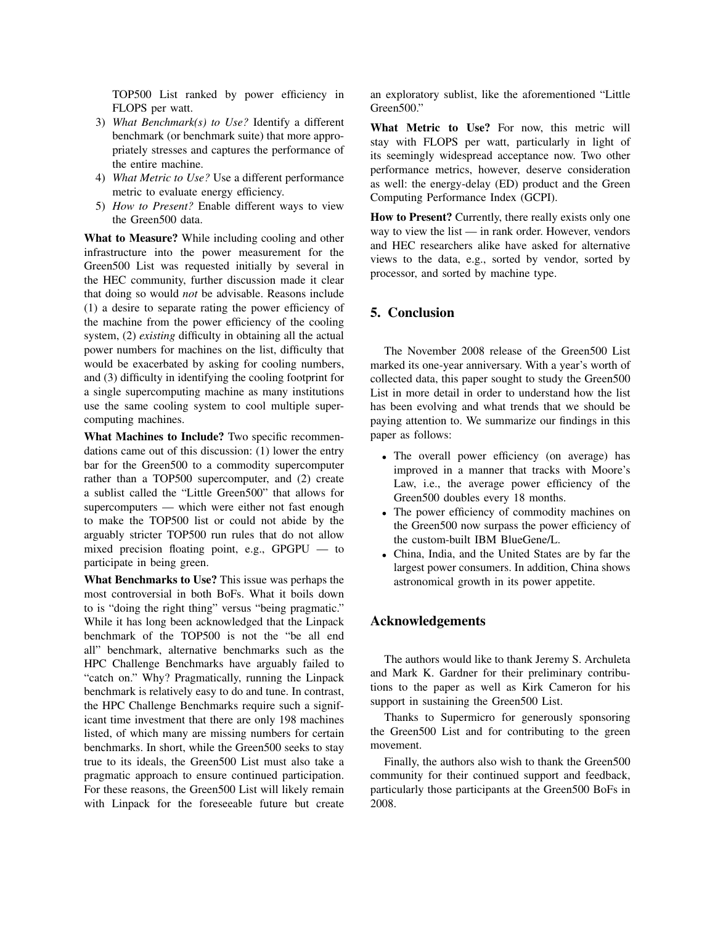TOP500 List ranked by power efficiency in FLOPS per watt.

- 3) *What Benchmark(s) to Use?* Identify a different benchmark (or benchmark suite) that more appropriately stresses and captures the performance of the entire machine.
- 4) *What Metric to Use?* Use a different performance metric to evaluate energy efficiency.
- 5) *How to Present?* Enable different ways to view the Green500 data.

What to Measure? While including cooling and other infrastructure into the power measurement for the Green500 List was requested initially by several in the HEC community, further discussion made it clear that doing so would *not* be advisable. Reasons include (1) a desire to separate rating the power efficiency of the machine from the power efficiency of the cooling system, (2) *existing* difficulty in obtaining all the actual power numbers for machines on the list, difficulty that would be exacerbated by asking for cooling numbers, and (3) difficulty in identifying the cooling footprint for a single supercomputing machine as many institutions use the same cooling system to cool multiple supercomputing machines.

What Machines to Include? Two specific recommendations came out of this discussion: (1) lower the entry bar for the Green500 to a commodity supercomputer rather than a TOP500 supercomputer, and (2) create a sublist called the "Little Green500" that allows for supercomputers — which were either not fast enough to make the TOP500 list or could not abide by the arguably stricter TOP500 run rules that do not allow mixed precision floating point, e.g., GPGPU — to participate in being green.

What Benchmarks to Use? This issue was perhaps the most controversial in both BoFs. What it boils down to is "doing the right thing" versus "being pragmatic." While it has long been acknowledged that the Linpack benchmark of the TOP500 is not the "be all end all" benchmark, alternative benchmarks such as the HPC Challenge Benchmarks have arguably failed to "catch on." Why? Pragmatically, running the Linpack benchmark is relatively easy to do and tune. In contrast, the HPC Challenge Benchmarks require such a significant time investment that there are only 198 machines listed, of which many are missing numbers for certain benchmarks. In short, while the Green500 seeks to stay true to its ideals, the Green500 List must also take a pragmatic approach to ensure continued participation. For these reasons, the Green500 List will likely remain with Linpack for the foreseeable future but create an exploratory sublist, like the aforementioned "Little Green500."

What Metric to Use? For now, this metric will stay with FLOPS per watt, particularly in light of its seemingly widespread acceptance now. Two other performance metrics, however, deserve consideration as well: the energy-delay (ED) product and the Green Computing Performance Index (GCPI).

How to Present? Currently, there really exists only one way to view the list — in rank order. However, vendors and HEC researchers alike have asked for alternative views to the data, e.g., sorted by vendor, sorted by processor, and sorted by machine type.

# 5. Conclusion

The November 2008 release of the Green500 List marked its one-year anniversary. With a year's worth of collected data, this paper sought to study the Green500 List in more detail in order to understand how the list has been evolving and what trends that we should be paying attention to. We summarize our findings in this paper as follows:

- The overall power efficiency (on average) has improved in a manner that tracks with Moore's Law, i.e., the average power efficiency of the Green500 doubles every 18 months.
- The power efficiency of commodity machines on the Green500 now surpass the power efficiency of the custom-built IBM BlueGene/L.
- China, India, and the United States are by far the largest power consumers. In addition, China shows astronomical growth in its power appetite.

# Acknowledgements

The authors would like to thank Jeremy S. Archuleta and Mark K. Gardner for their preliminary contributions to the paper as well as Kirk Cameron for his support in sustaining the Green500 List.

Thanks to Supermicro for generously sponsoring the Green500 List and for contributing to the green movement.

Finally, the authors also wish to thank the Green500 community for their continued support and feedback, particularly those participants at the Green500 BoFs in 2008.